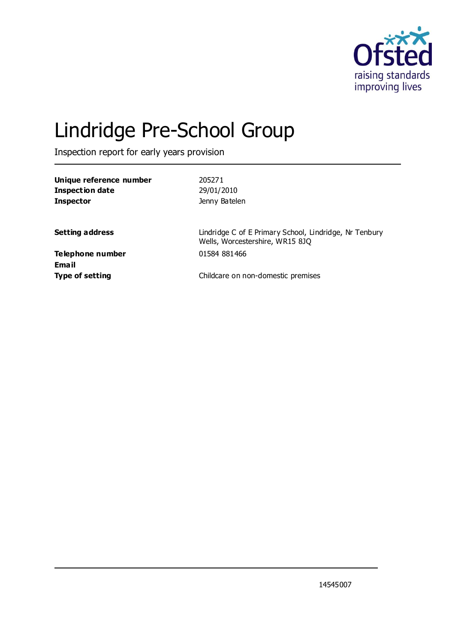

# Lindridge Pre-School Group

Inspection report for early years provision

| Unique reference number<br><b>Inspection date</b><br><b>Inspector</b> | 205271<br>29/01/2010<br>Jenny Batelen                                                     |
|-----------------------------------------------------------------------|-------------------------------------------------------------------------------------------|
| <b>Setting address</b>                                                | Lindridge C of E Primary School, Lindridge, Nr Tenbury<br>Wells, Worcestershire, WR15 8JQ |
| Telephone number<br>Email                                             | 01584 881466                                                                              |
| <b>Type of setting</b>                                                | Childcare on non-domestic premises                                                        |

14545007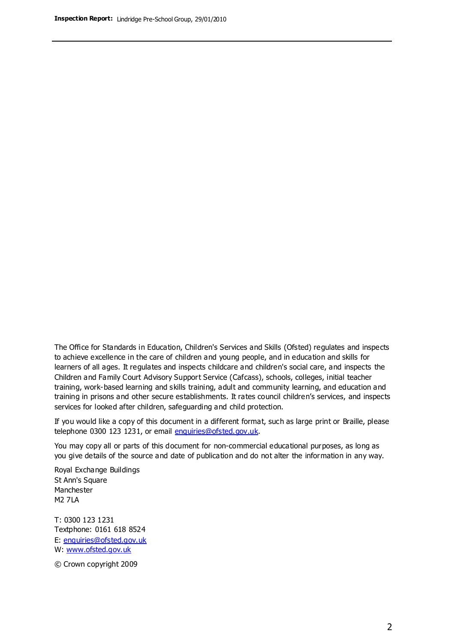The Office for Standards in Education, Children's Services and Skills (Ofsted) regulates and inspects to achieve excellence in the care of children and young people, and in education and skills for learners of all ages. It regulates and inspects childcare and children's social care, and inspects the Children and Family Court Advisory Support Service (Cafcass), schools, colleges, initial teacher training, work-based learning and skills training, adult and community learning, and education and training in prisons and other secure establishments. It rates council children's services, and inspects services for looked after children, safeguarding and child protection.

If you would like a copy of this document in a different format, such as large print or Braille, please telephone 0300 123 1231, or email enquiries@ofsted.gov.uk.

You may copy all or parts of this document for non-commercial educational purposes, as long as you give details of the source and date of publication and do not alter the information in any way.

Royal Exchange Buildings St Ann's Square Manchester M2 7LA

T: 0300 123 1231 Textphone: 0161 618 8524 E: enquiries@ofsted.gov.uk W: [www.ofsted.gov.uk](http://www.ofsted.gov.uk/)

© Crown copyright 2009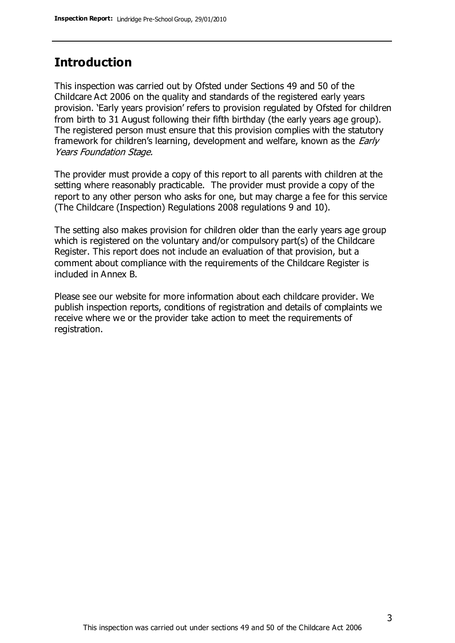## **Introduction**

This inspection was carried out by Ofsted under Sections 49 and 50 of the Childcare Act 2006 on the quality and standards of the registered early years provision. 'Early years provision' refers to provision regulated by Ofsted for children from birth to 31 August following their fifth birthday (the early years age group). The registered person must ensure that this provision complies with the statutory framework for children's learning, development and welfare, known as the *Early* Years Foundation Stage.

The provider must provide a copy of this report to all parents with children at the setting where reasonably practicable. The provider must provide a copy of the report to any other person who asks for one, but may charge a fee for this service (The Childcare (Inspection) Regulations 2008 regulations 9 and 10).

The setting also makes provision for children older than the early years age group which is registered on the voluntary and/or compulsory part(s) of the Childcare Register. This report does not include an evaluation of that provision, but a comment about compliance with the requirements of the Childcare Register is included in Annex B.

Please see our website for more information about each childcare provider. We publish inspection reports, conditions of registration and details of complaints we receive where we or the provider take action to meet the requirements of registration.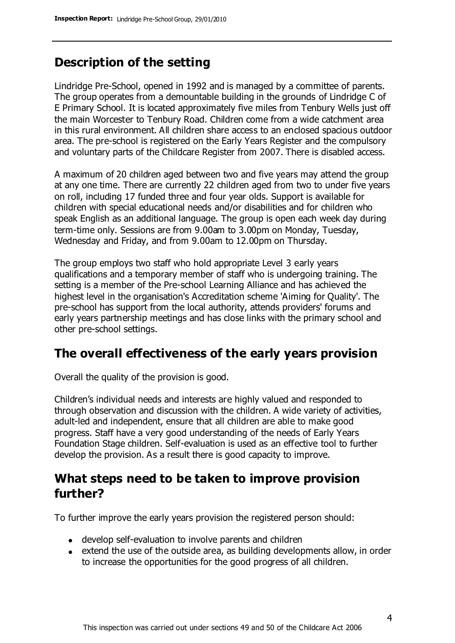# **Description of the setting**

Lindridge Pre-School, opened in 1992 and is managed by a committee of parents. The group operates from a demountable building in the grounds of Lindridge C of E Primary School. It is located approximately five miles from Tenbury Wells just off the main Worcester to Tenbury Road. Children come from a wide catchment area in this rural environment. All children share access to an enclosed spacious outdoor area. The pre-school is registered on the Early Years Register and the compulsory and voluntary parts of the Childcare Register from 2007. There is disabled access.

A maximum of 20 children aged between two and five years may attend the group at any one time. There are currently 22 children aged from two to under five years on roll, including 17 funded three and four year olds. Support is available for children with special educational needs and/or disabilities and for children who speak English as an additional language. The group is open each week day during term-time only. Sessions are from 9.00am to 3.00pm on Monday, Tuesday, Wednesday and Friday, and from 9.00am to 12.00pm on Thursday.

The group employs two staff who hold appropriate Level 3 early years qualifications and a temporary member of staff who is undergoing training. The setting is a member of the Pre-school Learning Alliance and has achieved the highest level in the organisation's Accreditation scheme 'Aiming for Quality'. The pre-school has support from the local authority, attends providers' forums and early years partnership meetings and has close links with the primary school and other pre-school settings.

## **The overall effectiveness of the early years provision**

Overall the quality of the provision is good.

Children's individual needs and interests are highly valued and responded to through observation and discussion with the children. A wide variety of activities, adult-led and independent, ensure that all children are able to make good progress. Staff have a very good understanding of the needs of Early Years Foundation Stage children. Self-evaluation is used as an effective tool to further develop the provision. As a result there is good capacity to improve.

## **What steps need to be taken to improve provision further?**

To further improve the early years provision the registered person should:

- develop self-evaluation to involve parents and children
- extend the use of the outside area, as building developments allow, in order to increase the opportunities for the good progress of all children.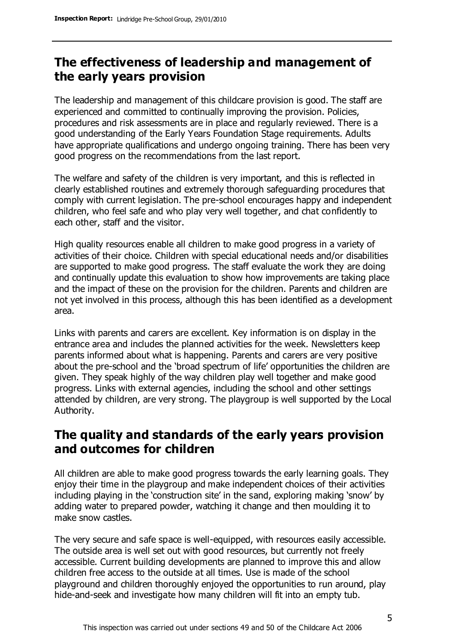# **The effectiveness of leadership and management of the early years provision**

The leadership and management of this childcare provision is good. The staff are experienced and committed to continually improving the provision. Policies, procedures and risk assessments are in place and regularly reviewed. There is a good understanding of the Early Years Foundation Stage requirements. Adults have appropriate qualifications and undergo ongoing training. There has been very good progress on the recommendations from the last report.

The welfare and safety of the children is very important, and this is reflected in clearly established routines and extremely thorough safeguarding procedures that comply with current legislation. The pre-school encourages happy and independent children, who feel safe and who play very well together, and chat confidently to each other, staff and the visitor.

High quality resources enable all children to make good progress in a variety of activities of their choice. Children with special educational needs and/or disabilities are supported to make good progress. The staff evaluate the work they are doing and continually update this evaluation to show how improvements are taking place and the impact of these on the provision for the children. Parents and children are not yet involved in this process, although this has been identified as a development area.

Links with parents and carers are excellent. Key information is on display in the entrance area and includes the planned activities for the week. Newsletters keep parents informed about what is happening. Parents and carers are very positive about the pre-school and the 'broad spectrum of life' opportunities the children are given. They speak highly of the way children play well together and make good progress. Links with external agencies, including the school and other settings attended by children, are very strong. The playgroup is well supported by the Local Authority.

## **The quality and standards of the early years provision and outcomes for children**

All children are able to make good progress towards the early learning goals. They enjoy their time in the playgroup and make independent choices of their activities including playing in the 'construction site' in the sand, exploring making 'snow' by adding water to prepared powder, watching it change and then moulding it to make snow castles.

The very secure and safe space is well-equipped, with resources easily accessible. The outside area is well set out with good resources, but currently not freely accessible. Current building developments are planned to improve this and allow children free access to the outside at all times. Use is made of the school playground and children thoroughly enjoyed the opportunities to run around, play hide-and-seek and investigate how many children will fit into an empty tub.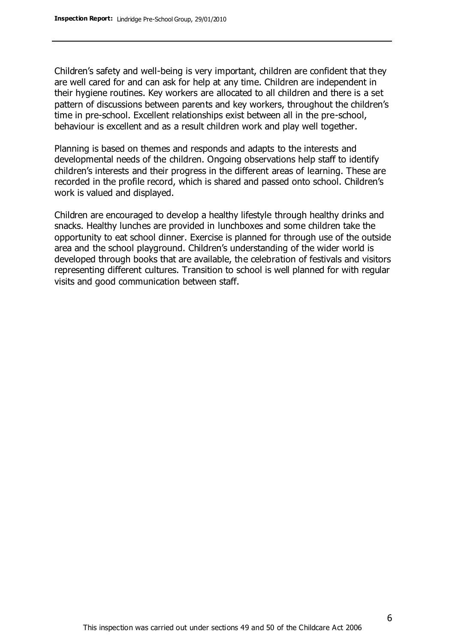Children's safety and well-being is very important, children are confident that they are well cared for and can ask for help at any time. Children are independent in their hygiene routines. Key workers are allocated to all children and there is a set pattern of discussions between parents and key workers, throughout the children's time in pre-school. Excellent relationships exist between all in the pre-school, behaviour is excellent and as a result children work and play well together.

Planning is based on themes and responds and adapts to the interests and developmental needs of the children. Ongoing observations help staff to identify children's interests and their progress in the different areas of learning. These are recorded in the profile record, which is shared and passed onto school. Children's work is valued and displayed.

Children are encouraged to develop a healthy lifestyle through healthy drinks and snacks. Healthy lunches are provided in lunchboxes and some children take the opportunity to eat school dinner. Exercise is planned for through use of the outside area and the school playground. Children's understanding of the wider world is developed through books that are available, the celebration of festivals and visitors representing different cultures. Transition to school is well planned for with regular visits and good communication between staff.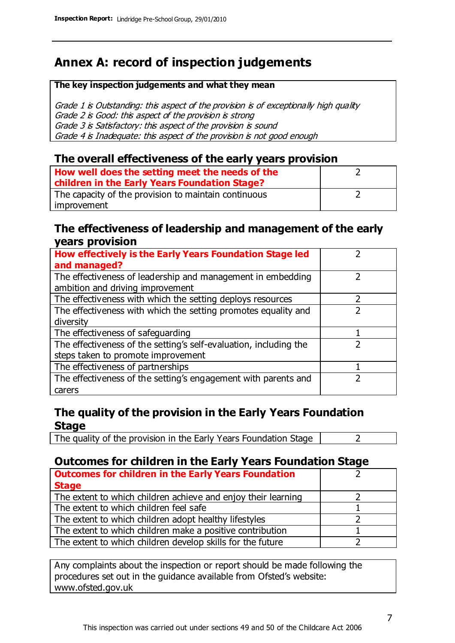# **Annex A: record of inspection judgements**

#### **The key inspection judgements and what they mean**

Grade 1 is Outstanding: this aspect of the provision is of exceptionally high quality Grade 2 is Good: this aspect of the provision is strong Grade 3 is Satisfactory: this aspect of the provision is sound Grade 4 is Inadequate: this aspect of the provision is not good enough

#### **The overall effectiveness of the early years provision**

| How well does the setting meet the needs of the<br>children in the Early Years Foundation Stage? |  |
|--------------------------------------------------------------------------------------------------|--|
| The capacity of the provision to maintain continuous                                             |  |
| improvement                                                                                      |  |

#### **The effectiveness of leadership and management of the early years provision**

| How effectively is the Early Years Foundation Stage led           |  |
|-------------------------------------------------------------------|--|
| and managed?                                                      |  |
| The effectiveness of leadership and management in embedding       |  |
| ambition and driving improvement                                  |  |
| The effectiveness with which the setting deploys resources        |  |
| The effectiveness with which the setting promotes equality and    |  |
| diversity                                                         |  |
| The effectiveness of safeguarding                                 |  |
| The effectiveness of the setting's self-evaluation, including the |  |
| steps taken to promote improvement                                |  |
| The effectiveness of partnerships                                 |  |
| The effectiveness of the setting's engagement with parents and    |  |
| carers                                                            |  |

#### **The quality of the provision in the Early Years Foundation Stage**

The quality of the provision in the Early Years Foundation Stage  $\vert$  2

### **Outcomes for children in the Early Years Foundation Stage**

| <b>Outcomes for children in the Early Years Foundation</b>    |  |
|---------------------------------------------------------------|--|
| <b>Stage</b>                                                  |  |
| The extent to which children achieve and enjoy their learning |  |
| The extent to which children feel safe                        |  |
| The extent to which children adopt healthy lifestyles         |  |
| The extent to which children make a positive contribution     |  |
| The extent to which children develop skills for the future    |  |

Any complaints about the inspection or report should be made following the procedures set out in the guidance available from Ofsted's website: www.ofsted.gov.uk